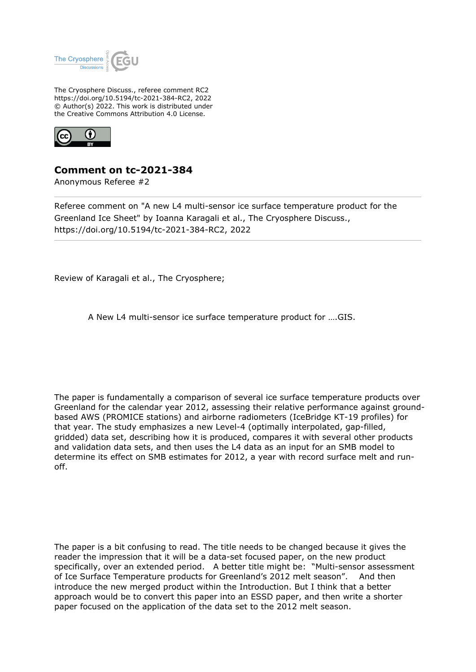

The Cryosphere Discuss., referee comment RC2 https://doi.org/10.5194/tc-2021-384-RC2, 2022 © Author(s) 2022. This work is distributed under the Creative Commons Attribution 4.0 License.



## **Comment on tc-2021-384**

Anonymous Referee #2

Referee comment on "A new L4 multi-sensor ice surface temperature product for the Greenland Ice Sheet" by Ioanna Karagali et al., The Cryosphere Discuss., https://doi.org/10.5194/tc-2021-384-RC2, 2022

Review of Karagali et al., The Cryosphere;

A New L4 multi-sensor ice surface temperature product for ….GIS.

The paper is fundamentally a comparison of several ice surface temperature products over Greenland for the calendar year 2012, assessing their relative performance against groundbased AWS (PROMICE stations) and airborne radiometers (IceBridge KT-19 profiles) for that year. The study emphasizes a new Level-4 (optimally interpolated, gap-filled, gridded) data set, describing how it is produced, compares it with several other products and validation data sets, and then uses the L4 data as an input for an SMB model to determine its effect on SMB estimates for 2012, a year with record surface melt and runoff.

The paper is a bit confusing to read. The title needs to be changed because it gives the reader the impression that it will be a data-set focused paper, on the new product specifically, over an extended period. A better title might be: "Multi-sensor assessment of Ice Surface Temperature products for Greenland's 2012 melt season". And then introduce the new merged product within the Introduction. But I think that a better approach would be to convert this paper into an ESSD paper, and then write a shorter paper focused on the application of the data set to the 2012 melt season.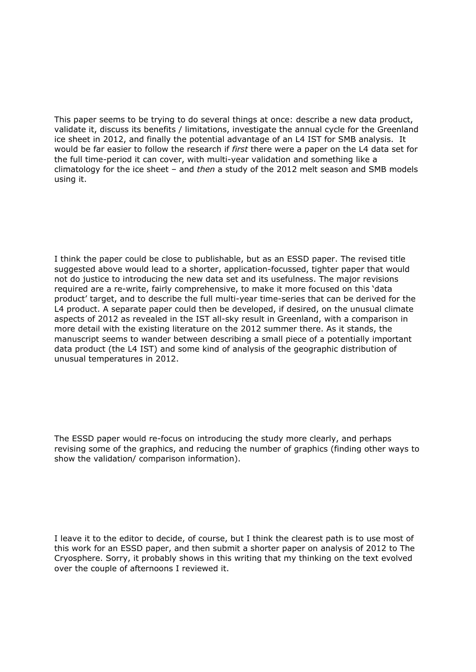This paper seems to be trying to do several things at once: describe a new data product, validate it, discuss its benefits / limitations, investigate the annual cycle for the Greenland ice sheet in 2012, and finally the potential advantage of an L4 IST for SMB analysis. It would be far easier to follow the research if *first* there were a paper on the L4 data set for the full time-period it can cover, with multi-year validation and something like a climatology for the ice sheet – and *then* a study of the 2012 melt season and SMB models using it.

I think the paper could be close to publishable, but as an ESSD paper. The revised title suggested above would lead to a shorter, application-focussed, tighter paper that would not do justice to introducing the new data set and its usefulness. The major revisions required are a re-write, fairly comprehensive, to make it more focused on this 'data product' target, and to describe the full multi-year time-series that can be derived for the L4 product. A separate paper could then be developed, if desired, on the unusual climate aspects of 2012 as revealed in the IST all-sky result in Greenland, with a comparison in more detail with the existing literature on the 2012 summer there. As it stands, the manuscript seems to wander between describing a small piece of a potentially important data product (the L4 IST) and some kind of analysis of the geographic distribution of unusual temperatures in 2012.

The ESSD paper would re-focus on introducing the study more clearly, and perhaps revising some of the graphics, and reducing the number of graphics (finding other ways to show the validation/ comparison information).

I leave it to the editor to decide, of course, but I think the clearest path is to use most of this work for an ESSD paper, and then submit a shorter paper on analysis of 2012 to The Cryosphere. Sorry, it probably shows in this writing that my thinking on the text evolved over the couple of afternoons I reviewed it.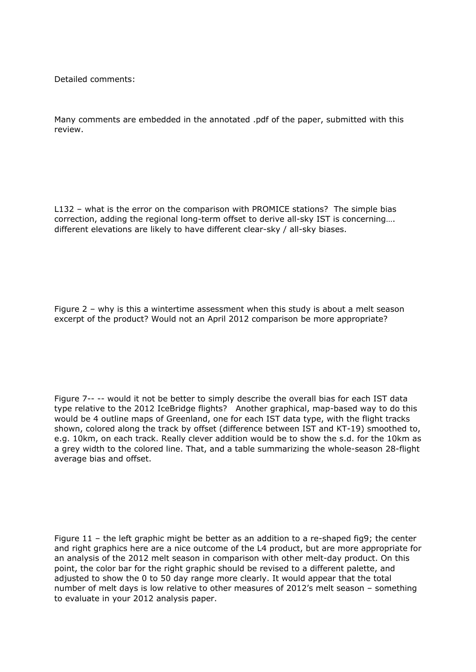Detailed comments:

Many comments are embedded in the annotated .pdf of the paper, submitted with this review.

L132 – what is the error on the comparison with PROMICE stations? The simple bias correction, adding the regional long-term offset to derive all-sky IST is concerning…. different elevations are likely to have different clear-sky / all-sky biases.

Figure 2 – why is this a wintertime assessment when this study is about a melt season excerpt of the product? Would not an April 2012 comparison be more appropriate?

Figure 7-- -- would it not be better to simply describe the overall bias for each IST data type relative to the 2012 IceBridge flights? Another graphical, map-based way to do this would be 4 outline maps of Greenland, one for each IST data type, with the flight tracks shown, colored along the track by offset (difference between IST and KT-19) smoothed to, e.g. 10km, on each track. Really clever addition would be to show the s.d. for the 10km as a grey width to the colored line. That, and a table summarizing the whole-season 28-flight average bias and offset.

Figure 11 – the left graphic might be better as an addition to a re-shaped fig9; the center and right graphics here are a nice outcome of the L4 product, but are more appropriate for an analysis of the 2012 melt season in comparison with other melt-day product. On this point, the color bar for the right graphic should be revised to a different palette, and adjusted to show the 0 to 50 day range more clearly. It would appear that the total number of melt days is low relative to other measures of 2012's melt season – something to evaluate in your 2012 analysis paper.